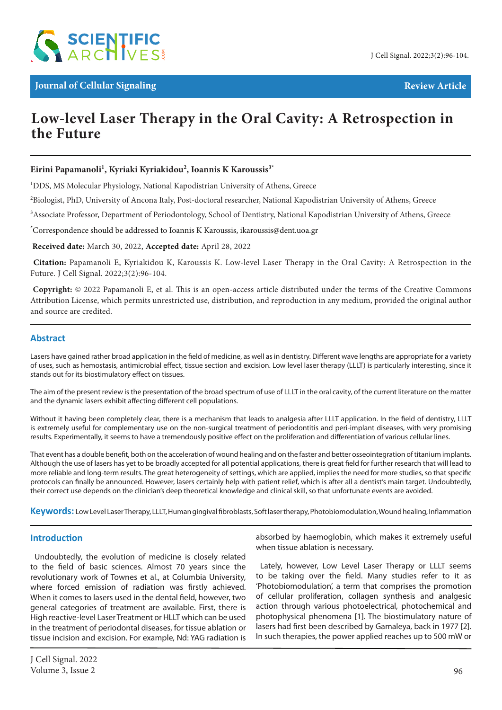

# **Low-level Laser Therapy in the Oral Cavity: A Retrospection in the Future**

## **Eirini Papamanoli1 , Kyriaki Kyriakidou2 , Ioannis K Karoussis3\***

<sup>1</sup>DDS, MS Molecular Physiology, National Kapodistrian University of Athens, Greece

 $^2$ Biologist, PhD, University of Ancona Italy, Post-doctoral researcher, National Kapodistrian University of Athens, Greece

<sup>3</sup>Associate Professor, Department of Periodontology, School of Dentistry, National Kapodistrian University of Athens, Greece

\* Correspondence should be addressed to Ioannis K Karoussis, ikaroussis@dent.uoa.gr

 **Received date:** March 30, 2022, **Accepted date:** April 28, 2022

**Citation:** Papamanoli E, Kyriakidou K, Karoussis K. Low-level Laser Therapy in the Oral Cavity: A Retrospection in the Future. J Cell Signal. 2022;3(2):96-104.

 **Copyright:** © 2022 Papamanoli E, et al. This is an open-access article distributed under the terms of the Creative Commons Attribution License, which permits unrestricted use, distribution, and reproduction in any medium, provided the original author and source are credited.

#### **Abstract**

Lasers have gained rather broad application in the field of medicine, as well as in dentistry. Different wave lengths are appropriate for a variety of uses, such as hemostasis, antimicrobial effect, tissue section and excision. Low level laser therapy (LLLT) is particularly interesting, since it stands out for its biostimulatory effect on tissues.

The aim of the present review is the presentation of the broad spectrum of use of LLLT in the oral cavity, of the current literature on the matter and the dynamic lasers exhibit affecting different cell populations.

Without it having been completely clear, there is a mechanism that leads to analgesia after LLLT application. In the field of dentistry, LLLT is extremely useful for complementary use on the non-surgical treatment of periodontitis and peri-implant diseases, with very promising results. Experimentally, it seems to have a tremendously positive effect on the proliferation and differentiation of various cellular lines.

That event has a double benefit, both on the acceleration of wound healing and on the faster and better osseointegration of titanium implants. Although the use of lasers has yet to be broadly accepted for all potential applications, there is great field for further research that will lead to more reliable and long-term results. The great heterogeneity of settings, which are applied, implies the need for more studies, so that specific protocols can finally be announced. However, lasers certainly help with patient relief, which is after all a dentist's main target. Undoubtedly, their correct use depends on the clinician's deep theoretical knowledge and clinical skill, so that unfortunate events are avoided.

**Keywords:** Low Level Laser Therapy, LLLT, Human gingival fibroblasts, Soft laser therapy, Photobiomodulation, Wound healing, Inflammation

#### **Introduction**

Undoubtedly, the evolution of medicine is closely related to the field of basic sciences. Almost 70 years since the revolutionary work of Townes et al., at Columbia University, where forced emission of radiation was firstly achieved. When it comes to lasers used in the dental field, however, two general categories of treatment are available. First, there is High reactive-level Laser Treatment or HLLT which can be used in the treatment of periodontal diseases, for tissue ablation or tissue incision and excision. For example, Nd: YAG radiation is absorbed by haemoglobin, which makes it extremely useful when tissue ablation is necessary.

Lately, however, Low Level Laser Therapy or LLLT seems to be taking over the field. Many studies refer to it as 'Photobiomodulation', a term that comprises the promotion of cellular proliferation, collagen synthesis and analgesic action through various photoelectrical, photochemical and photophysical phenomena [1]. The biostimulatory nature of lasers had first been described by Gamaleya, back in 1977 [2]. In such therapies, the power applied reaches up to 500 mW or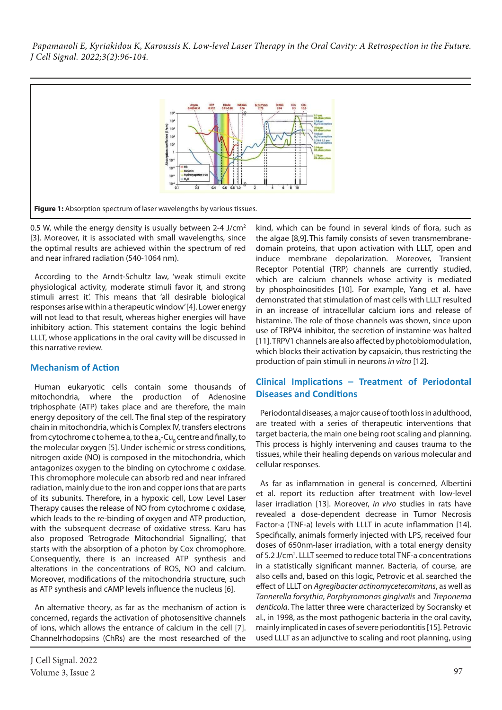

0.5 W, while the energy density is usually between 2-4 J/cm<sup>2</sup> [3]. Moreover, it is associated with small wavelengths, since the optimal results are achieved within the spectrum of red and near infrared radiation (540-1064 nm).

According to the Arndt-Schultz law, 'weak stimuli excite physiological activity, moderate stimuli favor it, and strong stimuli arrest it'. This means that 'all desirable biological responses arise within a therapeutic window' [4]. Lower energy will not lead to that result, whereas higher energies will have inhibitory action. This statement contains the logic behind LLLT, whose applications in the oral cavity will be discussed in this narrative review.

## **Mechanism of Action**

Human eukaryotic cells contain some thousands of mitochondria, where the production of Adenosine triphosphate (ATP) takes place and are therefore, the main energy depository of the cell. The final step of the respiratory chain in mitochondria, which is Complex IV, transfers electrons from cytochrome c to heme a, to the a<sub>3</sub>-Cu<sub>B</sub> centre and finally, to the molecular oxygen [5]. Under ischemic or stress conditions, nitrogen oxide (NO) is composed in the mitochondria, which antagonizes oxygen to the binding on cytochrome c oxidase. This chromophore molecule can absorb red and near infrared radiation, mainly due to the iron and copper ions that are parts of its subunits. Therefore, in a hypoxic cell, Low Level Laser Therapy causes the release of NO from cytochrome c oxidase, which leads to the re-binding of oxygen and ATP production, with the subsequent decrease of oxidative stress. Karu has also proposed 'Retrograde Mitochondrial Signalling', that starts with the absorption of a photon by Cox chromophore. Consequently, there is an increased ATP synthesis and alterations in the concentrations of ROS, NO and calcium. Moreover, modifications of the mitochondria structure, such as ATP synthesis and cAMP levels influence the nucleus [6].

An alternative theory, as far as the mechanism of action is concerned, regards the activation of photosensitive channels of ions, which allows the entrance of calcium in the cell [7]. Channelrhodopsins (ChRs) are the most researched of the

kind, which can be found in several kinds of flora, such as the algae [8,9]. This family consists of seven transmembranedomain proteins, that upon activation with LLLT, open and induce membrane depolarization. Moreover, Transient Receptor Potential (TRP) channels are currently studied, which are calcium channels whose activity is mediated by phosphoinositides [10]. For example, Yang et al. have demonstrated that stimulation of mast cells with LLLT resulted in an increase of intracellular calcium ions and release of histamine. The role of those channels was shown, since upon use of TRPV4 inhibitor, the secretion of instamine was halted [11]. TRPV1 channels are also affected by photobiomodulation, which blocks their activation by capsaicin, thus restricting the production of pain stimuli in neurons *in vitro* [12].

# **Clinical Implications – Treatment of Periodontal Diseases and Conditions**

Periodontal diseases, a major cause of tooth loss in adulthood, are treated with a series of therapeutic interventions that target bacteria, the main one being root scaling and planning. This process is highly intervening and causes trauma to the tissues, while their healing depends on various molecular and cellular responses.

As far as inflammation in general is concerned, Albertini et al. report its reduction after treatment with low-level laser irradiation [13]. Moreover, *in vivo* studies in rats have revealed a dose-dependent decrease in Tumor Necrosis Factor-a (TNF-a) levels with LLLT in acute inflammation [14]. Specifically, animals formerly injected with LPS, received four doses of 650nm-laser irradiation, with a total energy density of 5.2 J/cm<sup>2</sup>. LLLT seemed to reduce total TNF-a concentrations in a statistically significant manner. Bacteria, of course, are also cells and, based on this logic, Petrovic et al. searched the effect of LLLT on *Agregibacter actinomycetecomitans*, as well as *Tannerella forsythia*, *Porphyromonas gingivalis* and *Treponema denticola*. The latter three were characterized by Socransky et al., in 1998, as the most pathogenic bacteria in the oral cavity, mainly implicated in cases of severe periodontitis [15]. Petrovic used LLLT as an adjunctive to scaling and root planning, using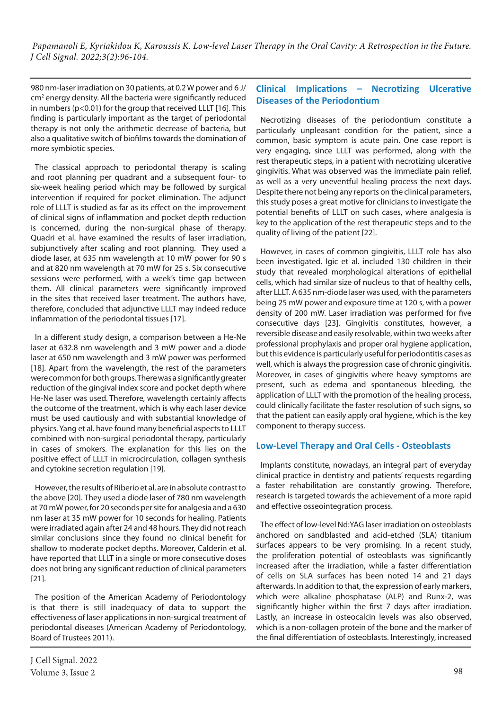980 nm-laser irradiation on 30 patients, at 0.2 W power and 6 J/ cm<sup>2</sup> energy density. All the bacteria were significantly reduced in numbers (p<0.01) for the group that received LLLT [16]. This finding is particularly important as the target of periodontal therapy is not only the arithmetic decrease of bacteria, but also a qualitative switch of biofilms towards the domination of more symbiotic species.

The classical approach to periodontal therapy is scaling and root planning per quadrant and a subsequent four- to six-week healing period which may be followed by surgical intervention if required for pocket elimination. The adjunct role of LLLT is studied as far as its effect on the improvement of clinical signs of inflammation and pocket depth reduction is concerned, during the non-surgical phase of therapy. Quadri et al. have examined the results of laser irradiation, subjunctively after scaling and root planning. They used a diode laser, at 635 nm wavelength at 10 mW power for 90 s and at 820 nm wavelength at 70 mW for 25 s. Six consecutive sessions were performed, with a week's time gap between them. All clinical parameters were significantly improved in the sites that received laser treatment. The authors have, therefore, concluded that adjunctive LLLT may indeed reduce inflammation of the periodontal tissues [17].

In a different study design, a comparison between a He-Ne laser at 632.8 nm wavelength and 3 mW power and a diode laser at 650 nm wavelength and 3 mW power was performed [18]. Apart from the wavelength, the rest of the parameters were common for both groups. There was a significantly greater reduction of the gingival index score and pocket depth where He-Ne laser was used. Therefore, wavelength certainly affects the outcome of the treatment, which is why each laser device must be used cautiously and with substantial knowledge of physics. Yang et al. have found many beneficial aspects to LLLT combined with non-surgical periodontal therapy, particularly in cases of smokers. The explanation for this lies on the positive effect of LLLT in microcirculation, collagen synthesis and cytokine secretion regulation [19].

However, the results of Riberio et al. are in absolute contrast to the above [20]. They used a diode laser of 780 nm wavelength at 70 mW power, for 20 seconds per site for analgesia and a 630 nm laser at 35 mW power for 10 seconds for healing. Patients were irradiated again after 24 and 48 hours. They did not reach similar conclusions since they found no clinical benefit for shallow to moderate pocket depths. Moreover, Calderin et al. have reported that LLLT in a single or more consecutive doses does not bring any significant reduction of clinical parameters [21].

The position of the American Academy of Periodontology is that there is still inadequacy of data to support the effectiveness of laser applications in non-surgical treatment of periodontal diseases (American Academy of Periodontology, Board of Trustees 2011).

# **Clinical Implications – Necrotizing Ulcerative Diseases of the Periodontium**

Necrotizing diseases of the periodontium constitute a particularly unpleasant condition for the patient, since a common, basic symptom is acute pain. One case report is very engaging, since LLLT was performed, along with the rest therapeutic steps, in a patient with necrotizing ulcerative gingivitis. What was observed was the immediate pain relief, as well as a very uneventful healing process the next days. Despite there not being any reports on the clinical parameters, this study poses a great motive for clinicians to investigate the potential benefits of LLLT on such cases, where analgesia is key to the application of the rest therapeutic steps and to the quality of living of the patient [22].

However, in cases of common gingivitis, LLLT role has also been investigated. Igic et al. included 130 children in their study that revealed morphological alterations of epithelial cells, which had similar size of nucleus to that of healthy cells, after LLLT. A 635 nm-diode laser was used, with the parameters being 25 mW power and exposure time at 120 s, with a power density of 200 mW. Laser irradiation was performed for five consecutive days [23]. Gingivitis constitutes, however, a reversible disease and easily resolvable, within two weeks after professional prophylaxis and proper oral hygiene application, but this evidence is particularly useful for periodontitis cases as well, which is always the progression case of chronic gingivitis. Moreover, in cases of gingivitis where heavy symptoms are present, such as edema and spontaneous bleeding, the application of LLLT with the promotion of the healing process, could clinically facilitate the faster resolution of such signs, so that the patient can easily apply oral hygiene, which is the key component to therapy success.

## **Low-Level Therapy and Oral Cells - Osteoblasts**

Implants constitute, nowadays, an integral part of everyday clinical practice in dentistry and patients' requests regarding a faster rehabilitation are constantly growing. Therefore, research is targeted towards the achievement of a more rapid and effective osseointegration process.

The effect of low-level Nd:YAG laser irradiation on osteoblasts anchored on sandblasted and acid-etched (SLA) titanium surfaces appears to be very promising. In a recent study, the proliferation potential of osteoblasts was significantly increased after the irradiation, while a faster differentiation of cells on SLA surfaces has been noted 14 and 21 days afterwards. In addition to that, the expression of early markers, which were alkaline phosphatase (ALP) and Runx-2, was significantly higher within the first 7 days after irradiation. Lastly, an increase in osteocalcin levels was also observed, which is a non-collagen protein of the bone and the marker of the final differentiation of osteoblasts. Interestingly, increased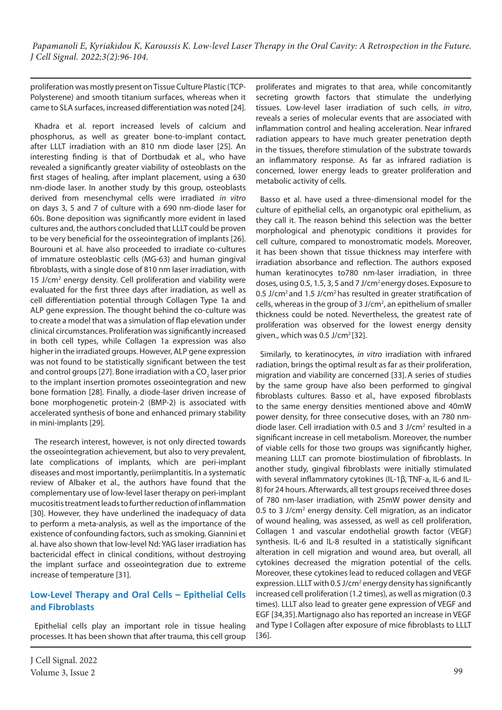proliferation was mostly present on Tissue Culture Plastic (TCP-Polysterene) and smooth titanium surfaces, whereas when it came to SLA surfaces, increased differentiation was noted [24].

Khadra et al. report increased levels of calcium and phosphorus, as well as greater bone-to-implant contact, after LLLT irradiation with an 810 nm diode laser [25]. An interesting finding is that of Dortbudak et al., who have revealed a significantly greater viability of osteoblasts on the first stages of healing, after implant placement, using a 630 nm-diode laser. In another study by this group, osteoblasts derived from mesenchymal cells were irradiated *in vitro* on days 3, 5 and 7 of culture with a 690 nm-diode laser for 60s. Bone deposition was significantly more evident in lased cultures and, the authors concluded that LLLT could be proven to be very beneficial for the osseointegration of implants [26]. Bourouni et al. have also proceeded to irradiate co-cultures of immature osteoblastic cells (MG-63) and human gingival fibroblasts, with a single dose of 810 nm laser irradiation, with 15 J/cm2 energy density. Cell proliferation and viability were evaluated for the first three days after irradiation, as well as cell differentiation potential through Collagen Type 1a and ALP gene expression. The thought behind the co-culture was to create a model that was a simulation of flap elevation under clinical circumstances. Proliferation was significantly increased in both cell types, while Collagen 1a expression was also higher in the irradiated groups. However, ALP gene expression was not found to be statistically significant between the test and control groups [27]. Bone irradiation with a CO<sub>2</sub> laser prior to the implant insertion promotes osseointegration and new bone formation [28]. Finally, a diode-laser driven increase of bone morphogenetic protein-2 (BMP-2) is associated with accelerated synthesis of bone and enhanced primary stability in mini-implants [29].

The research interest, however, is not only directed towards the osseointegration achievement, but also to very prevalent, late complications of implants, which are peri-implant diseases and most importantly, periimplantitis. In a systematic review of Albaker et al., the authors have found that the complementary use of low-level laser therapy on peri-implant mucositis treatment leads to further reduction of inflammation [30]. However, they have underlined the inadequacy of data to perform a meta-analysis, as well as the importance of the existence of confounding factors, such as smoking. Giannini et al. have also shown that low-level Nd: YAG laser irradiation has bactericidal effect in clinical conditions, without destroying the implant surface and osseointegration due to extreme increase of temperature [31].

# **Low-Level Therapy and Oral Cells – Epithelial Cells and Fibroblasts**

Epithelial cells play an important role in tissue healing processes. It has been shown that after trauma, this cell group proliferates and migrates to that area, while concomitantly secreting growth factors that stimulate the underlying tissues. Low-level laser irradiation of such cells, *in vitro*, reveals a series of molecular events that are associated with inflammation control and healing acceleration. Near infrared radiation appears to have much greater penetration depth in the tissues, therefore stimulation of the substrate towards an inflammatory response. As far as infrared radiation is concerned, lower energy leads to greater proliferation and metabolic activity of cells.

Basso et al. have used a three-dimensional model for the culture of epithelial cells, an organotypic oral epithelium, as they call it. The reason behind this selection was the better morphological and phenotypic conditions it provides for cell culture, compared to monostromatic models. Moreover, it has been shown that tissue thickness may interfere with irradiation absorbance and reflection. The authors exposed human keratinocytes to780 nm-laser irradiation, in three doses, using 0.5, 1.5, 3, 5 and 7 J/cm2 energy doses. Exposure to 0.5 J/cm<sup>2</sup> and 1.5 J/cm<sup>2</sup> has resulted in greater stratification of cells, whereas in the group of 3 J/cm<sup>2</sup>, an epithelium of smaller thickness could be noted. Nevertheless, the greatest rate of proliferation was observed for the lowest energy density given., which was  $0.5$  J/cm<sup>2</sup> [32].

Similarly, to keratinocytes, *in vitro* irradiation with infrared radiation, brings the optimal result as far as their proliferation, migration and viability are concerned [33]. A series of studies by the same group have also been performed to gingival fibroblasts cultures. Basso et al., have exposed fibroblasts to the same energy densities mentioned above and 40mW power density, for three consecutive doses, with an 780 nmdiode laser. Cell irradiation with 0.5 and 3 J/cm<sup>2</sup> resulted in a significant increase in cell metabolism. Moreover, the number of viable cells for those two groups was significantly higher, meaning LLLT can promote biostimulation of fibroblasts. In another study, gingival fibroblasts were initially stimulated with several inflammatory cytokines (IL-1β, TNF-a, IL-6 and IL-8) for 24 hours. Afterwards, all test groups received three doses of 780 nm-laser irradiation, with 25mW power density and 0.5 to 3 J/ $cm<sup>2</sup>$  energy density. Cell migration, as an indicator of wound healing, was assessed, as well as cell proliferation, Collagen 1 and vascular endothelial growth factor (VEGF) synthesis. IL-6 and IL-8 resulted in a statistically significant alteration in cell migration and wound area, but overall, all cytokines decreased the migration potential of the cells. Moreover, these cytokines lead to reduced collagen and VEGF expression. LLLT with 0.5 J/cm<sup>2</sup> energy density has significantly increased cell proliferation (1.2 times), as well as migration (0.3 times). LLLT also lead to greater gene expression of VEGF and EGF [34,35].Martignago also has reported an increase in VEGF and Type I Collagen after exposure of mice fibroblasts to LLLT [36].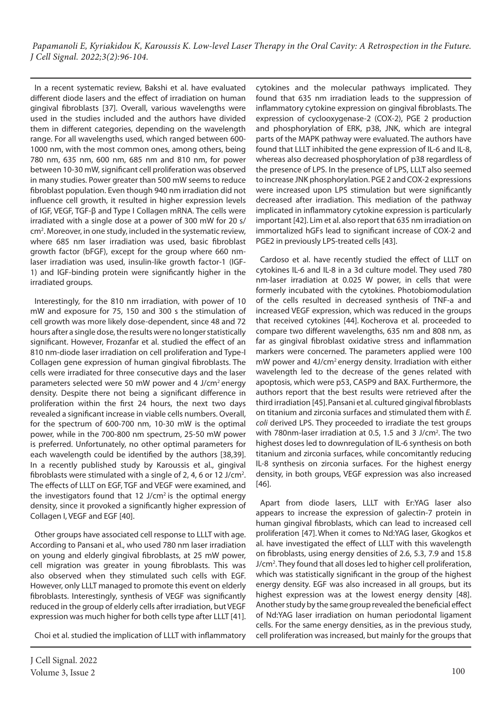In a recent systematic review, Bakshi et al. have evaluated different diode lasers and the effect of irradiation on human gingival fibroblasts [37]. Overall, various wavelengths were used in the studies included and the authors have divided them in different categories, depending on the wavelength range. For all wavelengths used, which ranged between 600- 1000 nm, with the most common ones, among others, being 780 nm, 635 nm, 600 nm, 685 nm and 810 nm, for power between 10-30 mW, significant cell proliferation was observed in many studies. Power greater than 500 mW seems to reduce fibroblast population. Even though 940 nm irradiation did not influence cell growth, it resulted in higher expression levels of IGF, VEGF, TGF-β and Type I Collagen mRNA. The cells were irradiated with a single dose at a power of 300 mW for 20 s/ cm2 . Moreover, in one study, included in the systematic review, where 685 nm laser irradiation was used, basic fibroblast growth factor (bFGF), except for the group where 660 nmlaser irradiation was used, insulin-like growth factor-1 (IGF-1) and IGF-binding protein were significantly higher in the irradiated groups.

Interestingly, for the 810 nm irradiation, with power of 10 mW and exposure for 75, 150 and 300 s the stimulation of cell growth was more likely dose-dependent, since 48 and 72 hours after a single dose, the results were no longer statistically significant. However, Frozanfar et al. studied the effect of an 810 nm-diode laser irradiation on cell proliferation and Type-I Collagen gene expression of human gingival fibroblasts. The cells were irradiated for three consecutive days and the laser parameters selected were 50 mW power and 4 J/cm2 energy density. Despite there not being a significant difference in proliferation within the first 24 hours, the next two days revealed a significant increase in viable cells numbers. Overall, for the spectrum of 600-700 nm, 10-30 mW is the optimal power, while in the 700-800 nm spectrum, 25-50 mW power is preferred. Unfortunately, no other optimal parameters for each wavelength could be identified by the authors [38,39]. In a recently published study by Karoussis et al., gingival fibroblasts were stimulated with a single of 2, 4, 6 or 12 J/cm<sup>2</sup>. The effects of LLLT on EGF, TGF and VEGF were examined, and the investigators found that  $12$  J/cm<sup>2</sup> is the optimal energy density, since it provoked a significantly higher expression of Collagen I, VEGF and EGF [40].

Other groups have associated cell response to LLLT with age. According to Pansani et al., who used 780 nm laser irradiation on young and elderly gingival fibroblasts, at 25 mW power, cell migration was greater in young fibroblasts. This was also observed when they stimulated such cells with EGF. However, only LLLT managed to promote this event on elderly fibroblasts. Interestingly, synthesis of VEGF was significantly reduced in the group of elderly cells after irradiation, but VEGF expression was much higher for both cells type after LLLT [41].

Choi et al. studied the implication of LLLT with inflammatory

cytokines and the molecular pathways implicated. They found that 635 nm irradiation leads to the suppression of inflammatory cytokine expression on gingival fibroblasts. The expression of cyclooxygenase-2 (COX-2), PGE 2 production and phosphorylation of ERK, p38, JNK, which are integral parts of the MAPK pathway were evaluated. The authors have found that LLLT inhibited the gene expression of IL-6 and IL-8, whereas also decreased phosphorylation of p38 regardless of the presence of LPS. In the presence of LPS, LLLT also seemed to increase JNK phosphorylation. PGE 2 and COX-2 expressions were increased upon LPS stimulation but were significantly decreased after irradiation. This mediation of the pathway implicated in inflammatory cytokine expression is particularly important [42]. Lim et al. also report that 635 nm irradiation on immortalized hGFs lead to significant increase of COX-2 and PGE2 in previously LPS-treated cells [43].

Cardoso et al. have recently studied the effect of LLLT on cytokines IL-6 and IL-8 in a 3d culture model. They used 780 nm-laser irradiation at 0.025 W power, in cells that were formerly incubated with the cytokines. Photobiomodulation of the cells resulted in decreased synthesis of TNF-a and increased VEGF expression, which was reduced in the groups that received cytokines [44]. Kocherova et al. proceeded to compare two different wavelengths, 635 nm and 808 nm, as far as gingival fibroblast oxidative stress and inflammation markers were concerned. The parameters applied were 100 mW power and 4J/cm<sup>2</sup> energy density. Irradiation with either wavelength led to the decrease of the genes related with apoptosis, which were p53, CASP9 and BAX. Furthermore, the authors report that the best results were retrieved after the third irradiation [45].Pansani et al. cultured gingival fibroblasts on titanium and zirconia surfaces and stimulated them with *E. coli* derived LPS. They proceeded to irradiate the test groups with 780nm-laser irradiation at 0.5, 1.5 and 3 J/cm<sup>2</sup>. The two highest doses led to downregulation of IL-6 synthesis on both titanium and zirconia surfaces, while concomitantly reducing IL-8 synthesis on zirconia surfaces. For the highest energy density, in both groups, VEGF expression was also increased [46].

Apart from diode lasers, LLLT with Er:YAG laser also appears to increase the expression of galectin-7 protein in human gingival fibroblasts, which can lead to increased cell proliferation [47].When it comes to Nd:YAG laser, Gkogkos et al. have investigated the effect of LLLT with this wavelength on fibroblasts, using energy densities of 2.6, 5.3, 7.9 and 15.8 J/cm<sup>2</sup>. They found that all doses led to higher cell proliferation, which was statistically significant in the group of the highest energy density. EGF was also increased in all groups, but its highest expression was at the lowest energy density [48]. Another study by the same group revealed the beneficial effect of Nd:YAG laser irradiation on human periodontal ligament cells. For the same energy densities, as in the previous study, cell proliferation was increased, but mainly for the groups that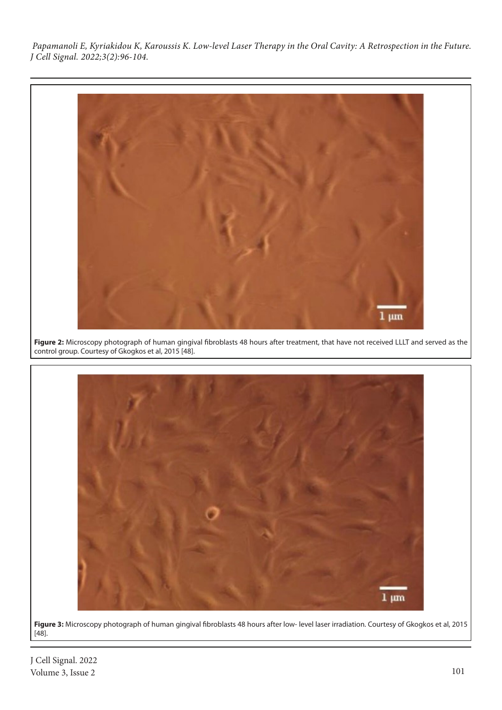

**Figure 2:** Microscopy photograph of human gingival fibroblasts 48 hours after treatment, that have not received LLLT and served as the control group. Courtesy of Gkogkos et al, 2015 [48].



**Figure 3:** Microscopy photograph of human gingival fibroblasts 48 hours after low- level laser irradiation. Courtesy of Gkogkos et al, 2015 [48].

J Cell Signal. 2022 Volume 3, Issue 2 101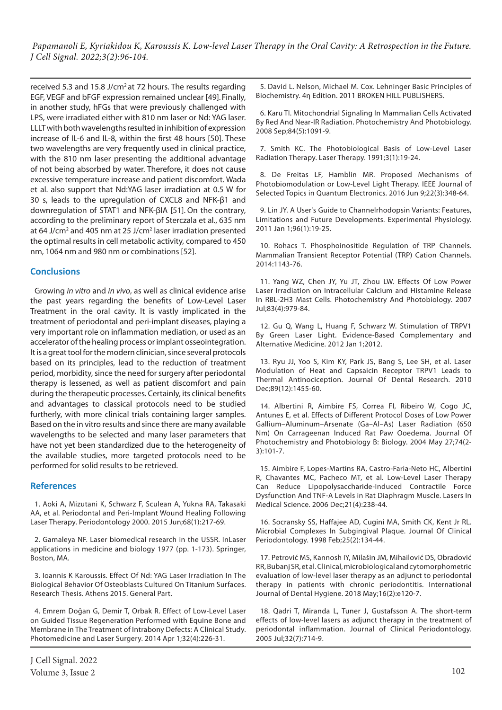received 5.3 and 15.8 J/cm<sup>2</sup> at 72 hours. The results regarding EGF, VEGF and bFGF expression remained unclear [49]. Finally, in another study, hFGs that were previously challenged with LPS, were irradiated either with 810 nm laser or Nd: YAG laser. LLLT with both wavelengths resulted in inhibition of expression increase of IL-6 and IL-8, within the first 48 hours [50]. These two wavelengths are very frequently used in clinical practice, with the 810 nm laser presenting the additional advantage of not being absorbed by water. Therefore, it does not cause excessive temperature increase and patient discomfort. Wada et al. also support that Nd:YAG laser irradiation at 0.5 W for 30 s, leads to the upregulation of CXCL8 and NFK-β1 and downregulation of STAT1 and NFK-βΙΑ [51]. On the contrary, according to the preliminary report of Sterczala et al., 635 nm at 64 J/cm<sup>2</sup> and 405 nm at 25 J/cm<sup>2</sup> laser irradiation presented the optimal results in cell metabolic activity, compared to 450 nm, 1064 nm and 980 nm or combinations [52].

### **Conclusions**

Growing *in vitro* and *in vivo*, as well as clinical evidence arise the past years regarding the benefits of Low-Level Laser Treatment in the oral cavity. It is vastly implicated in the treatment of periodontal and peri-implant diseases, playing a very important role on inflammation mediation, or used as an accelerator of the healing process or implant osseointegration. It is a great tool for the modern clinician, since several protocols based on its principles, lead to the reduction of treatment period, morbidity, since the need for surgery after periodontal therapy is lessened, as well as patient discomfort and pain during the therapeutic processes. Certainly, its clinical benefits and advantages to classical protocols need to be studied furtherly, with more clinical trials containing larger samples. Based on the in vitro results and since there are many available wavelengths to be selected and many laser parameters that have not yet been standardized due to the heterogeneity of the available studies, more targeted protocols need to be performed for solid results to be retrieved.

#### **References**

1. Aoki A, Mizutani K, Schwarz F, Sculean A, Yukna RA, Takasaki AA, et al. Periodontal and Peri‐Implant Wound Healing Following Laser Therapy. Periodontology 2000. 2015 Jun;68(1):217-69.

2. Gamaleya NF. Laser biomedical research in the USSR. InLaser applications in medicine and biology 1977 (pp. 1-173). Springer, Boston, MA.

3. Ioannis K Karoussis. Effect Of Nd: YAG Laser Irradiation In The Biological Behavior Of Osteoblasts Cultured On Titanium Surfaces. Research Thesis. Athens 2015. General Part.

4. Emrem Doğan G, Demir T, Orbak R. Effect of Low-Level Laser on Guided Tissue Regeneration Performed with Equine Bone and Membrane in The Treatment of Intrabony Defects: A Clinical Study. Photomedicine and Laser Surgery. 2014 Apr 1;32(4):226-31.

5. David L. Nelson, Michael M. Cox. Lehninger Basic Principles of Biochemistry. 4η Edition. 2011 BROKEN HILL PUBLISHERS.

6. Karu TI. Mitochondrial Signaling In Mammalian Cells Activated By Red And Near‐IR Radiation. Photochemistry And Photobiology. 2008 Sep;84(5):1091-9.

7. Smith KC. The Photobiological Basis of Low-Level Laser Radiation Therapy. Laser Therapy. 1991;3(1):19-24.

8. De Freitas LF, Hamblin MR. Proposed Mechanisms of Photobiomodulation or Low-Level Light Therapy. IEEE Journal of Selected Topics in Quantum Electronics. 2016 Jun 9;22(3):348-64.

9. Lin JY. A User's Guide to Channelrhodopsin Variants: Features, Limitations and Future Developments. Experimental Physiology. 2011 Jan 1;96(1):19-25.

10. Rohacs T. Phosphoinositide Regulation of TRP Channels. Mammalian Transient Receptor Potential (TRP) Cation Channels. 2014:1143-76.

11. Yang WZ, Chen JY, Yu JT, Zhou LW. Effects Of Low Power Laser Irradiation on Intracellular Calcium and Histamine Release In RBL‐2H3 Mast Cells. Photochemistry And Photobiology. 2007 Jul;83(4):979-84.

12. Gu Q, Wang L, Huang F, Schwarz W. Stimulation of TRPV1 By Green Laser Light. Evidence-Based Complementary and Alternative Medicine. 2012 Jan 1;2012.

13. Ryu JJ, Yoo S, Kim KY, Park JS, Bang S, Lee SH, et al. Laser Modulation of Heat and Capsaicin Receptor TRPV1 Leads to Thermal Antinociception. Journal Of Dental Research. 2010 Dec;89(12):1455-60.

14. Albertini R, Aimbire FS, Correa FI, Ribeiro W, Cogo JC, Antunes E, et al. Effects of Different Protocol Doses of Low Power Gallium–Aluminum–Arsenate (Ga–Al–As) Laser Radiation (650 Nm) On Carrageenan Induced Rat Paw Ooedema. Journal Of Photochemistry and Photobiology B: Biology. 2004 May 27;74(2- 3):101-7.

15. Aimbire F, Lopes-Martins RA, Castro-Faria-Neto HC, Albertini R, Chavantes MC, Pacheco MT, et al. Low-Level Laser Therapy Can Reduce Lipopolysaccharide-Induced Contractile Force Dysfunction And TNF-Α Levels in Rat Diaphragm Muscle. Lasers In Medical Science. 2006 Dec;21(4):238-44.

16. Socransky SS, Haffajee AD, Cugini MA, Smith CK, Kent Jr RL. Microbial Complexes In Subgingival Plaque. Journal Of Clinical Periodontology. 1998 Feb;25(2):134-44.

17. Petrović MS, Kannosh IY, Milašin JM, Mihailović DS, Obradović RR, Bubanj SR, et al. Clinical, microbiological and cytomorphometric evaluation of low‐level laser therapy as an adjunct to periodontal therapy in patients with chronic periodontitis. International Journal of Dental Hygiene. 2018 May;16(2):e120-7.

18. Qadri T, Miranda L, Tuner J, Gustafsson A. The short-term effects of low‐level lasers as adjunct therapy in the treatment of periodontal inflammation. Journal of Clinical Periodontology. 2005 Jul;32(7):714-9.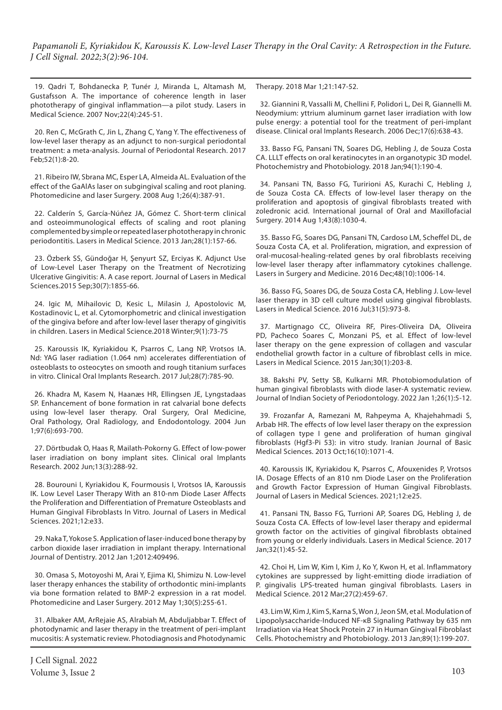19. Qadri T, Bohdanecka P, Tunér J, Miranda L, Altamash M, Gustafsson A. The importance of coherence length in laser phototherapy of gingival inflammation—a pilot study. Lasers in Medical Science. 2007 Nov;22(4):245-51.

20. Ren C, McGrath C, Jin L, Zhang C, Yang Y. The effectiveness of low‐level laser therapy as an adjunct to non‐surgical periodontal treatment: a meta‐analysis. Journal of Periodontal Research. 2017 Feb;52(1):8-20.

21. Ribeiro IW, Sbrana MC, Esper LA, Almeida AL. Evaluation of the effect of the GaAlAs laser on subgingival scaling and root planing. Photomedicine and laser Surgery. 2008 Aug 1;26(4):387-91.

22. Calderín S, García-Núñez JA, Gómez C. Short-term clinical and osteoimmunological effects of scaling and root planing complemented by simple or repeated laser phototherapy in chronic periodontitis. Lasers in Medical Science. 2013 Jan;28(1):157-66.

23. Özberk SS, Gündoğar H, Şenyurt SZ, Erciyas K. Adjunct Use of Low-Level Laser Therapy on the Treatment of Necrotizing Ulcerative Gingivitis: A. A case report. Journal of Lasers in Medical Sciences.2015 Sep;30(7):1855-66.

24. Igic M, Mihailovic D, Kesic L, Milasin J, Apostolovic M, Kostadinovic L, et al. Cytomorphometric and clinical investigation of the gingiva before and after low-level laser therapy of gingivitis in children. Lasers in Medical Science.2018 Winter;9(1):73-75

25. Karoussis IK, Kyriakidou K, Psarros C, Lang NP, Vrotsos IA. Nd: YAG laser radiation (1.064 nm) accelerates differentiation of osteoblasts to osteocytes on smooth and rough titanium surfaces in vitro. Clinical Oral Implants Research. 2017 Jul;28(7):785-90.

26. Khadra M, Kasem N, Haanæs HR, Ellingsen JE, Lyngstadaas SP. Enhancement of bone formation in rat calvarial bone defects using low-level laser therapy. Oral Surgery, Oral Medicine, Oral Pathology, Oral Radiology, and Endodontology. 2004 Jun 1;97(6):693-700.

27. Dörtbudak O, Haas R, Mailath‐Pokorny G. Effect of low‐power laser irradiation on bony implant sites. Clinical oral Implants Research. 2002 Jun;13(3):288-92.

28. Bourouni I, Kyriakidou K, Fourmousis I, Vrotsos IA, Karoussis IK. Low Level Laser Therapy With an 810-nm Diode Laser Affects the Proliferation and Differentiation of Premature Osteoblasts and Human Gingival Fibroblasts In Vitro. Journal of Lasers in Medical Sciences. 2021;12:e33.

29. Naka T, Yokose S. Application of laser-induced bone therapy by carbon dioxide laser irradiation in implant therapy. International Journal of Dentistry. 2012 Jan 1;2012:409496.

30. Omasa S, Motoyoshi M, Arai Y, Ejima KI, Shimizu N. Low-level laser therapy enhances the stability of orthodontic mini-implants via bone formation related to BMP-2 expression in a rat model. Photomedicine and Laser Surgery. 2012 May 1;30(5):255-61.

31. Albaker AM, ArRejaie AS, Alrabiah M, Abduljabbar T. Effect of photodynamic and laser therapy in the treatment of peri-implant mucositis: A systematic review. Photodiagnosis and Photodynamic

Therapy. 2018 Mar 1;21:147-52.

32. Giannini R, Vassalli M, Chellini F, Polidori L, Dei R, Giannelli M. Neodymium: yttrium aluminum garnet laser irradiation with low pulse energy: a potential tool for the treatment of peri‐implant disease. Clinical oral Implants Research. 2006 Dec;17(6):638-43.

33. Basso FG, Pansani TN, Soares DG, Hebling J, de Souza Costa CA. LLLT effects on oral keratinocytes in an organotypic 3D model. Photochemistry and Photobiology. 2018 Jan;94(1):190-4.

34. Pansani TN, Basso FG, Turirioni AS, Kurachi C, Hebling J, de Souza Costa CA. Effects of low-level laser therapy on the proliferation and apoptosis of gingival fibroblasts treated with zoledronic acid. International journal of Oral and Maxillofacial Surgery. 2014 Aug 1;43(8):1030-4.

35. Basso FG, Soares DG, Pansani TN, Cardoso LM, Scheffel DL, de Souza Costa CA, et al. Proliferation, migration, and expression of oral‐mucosal‐healing‐related genes by oral fibroblasts receiving low-level laser therapy after inflammatory cytokines challenge. Lasers in Surgery and Medicine. 2016 Dec;48(10):1006-14.

36. Basso FG, Soares DG, de Souza Costa CA, Hebling J. Low-level laser therapy in 3D cell culture model using gingival fibroblasts. Lasers in Medical Science. 2016 Jul;31(5):973-8.

37. Martignago CC, Oliveira RF, Pires-Oliveira DA, Oliveira PD, Pacheco Soares C, Monzani PS, et al. Effect of low-level laser therapy on the gene expression of collagen and vascular endothelial growth factor in a culture of fibroblast cells in mice. Lasers in Medical Science. 2015 Jan;30(1):203-8.

38. Bakshi PV, Setty SB, Kulkarni MR. Photobiomodulation of human gingival fibroblasts with diode laser-A systematic review. Journal of Indian Society of Periodontology. 2022 Jan 1;26(1):5-12.

39. Frozanfar A, Ramezani M, Rahpeyma A, Khajehahmadi S, Arbab HR. The effects of low level laser therapy on the expression of collagen type I gene and proliferation of human gingival fibroblasts (Hgf3-Pi 53): in vitro study. Iranian Journal of Basic Medical Sciences. 2013 Oct;16(10):1071-4.

40. Karoussis IK, Kyriakidou K, Psarros C, Afouxenides P, Vrotsos IA. Dosage Effects of an 810 nm Diode Laser on the Proliferation and Growth Factor Expression of Human Gingival Fibroblasts. Journal of Lasers in Medical Sciences. 2021;12:e25.

41. Pansani TN, Basso FG, Turrioni AP, Soares DG, Hebling J, de Souza Costa CA. Effects of low-level laser therapy and epidermal growth factor on the activities of gingival fibroblasts obtained from young or elderly individuals. Lasers in Medical Science. 2017 Jan;32(1):45-52.

42. Choi H, Lim W, Kim I, Kim J, Ko Y, Kwon H, et al. Inflammatory cytokines are suppressed by light-emitting diode irradiation of P. gingivalis LPS-treated human gingival fibroblasts. Lasers in Medical Science. 2012 Mar;27(2):459-67.

43. Lim W, Kim J, Kim S, Karna S, Won J, Jeon SM, et al. Modulation of Lipopolysaccharide‐Induced NF‐κB Signaling Pathway by 635 nm Irradiation via Heat Shock Protein 27 in Human Gingival Fibroblast Cells. Photochemistry and Photobiology. 2013 Jan;89(1):199-207.